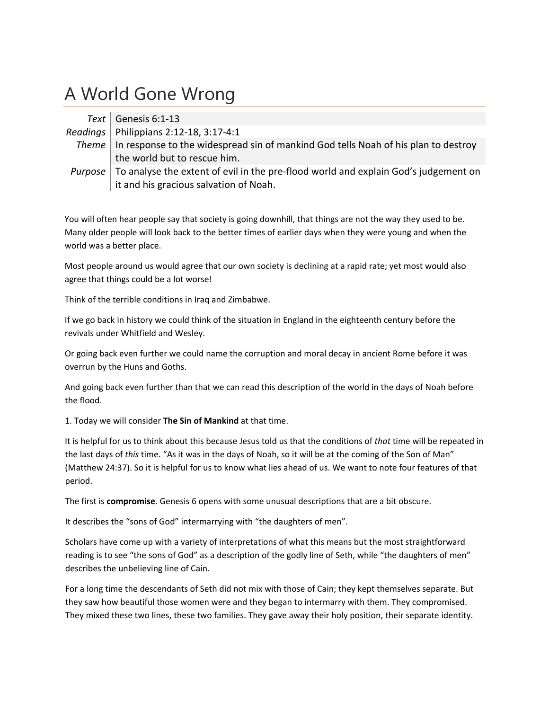## A World Gone Wrong

|         | Text Genesis 6:1-13                                                                        |
|---------|--------------------------------------------------------------------------------------------|
|         | Readings   Philippians 2:12-18, 3:17-4:1                                                   |
|         | Theme   In response to the widespread sin of mankind God tells Noah of his plan to destroy |
|         | the world but to rescue him.                                                               |
| Purpose | To analyse the extent of evil in the pre-flood world and explain God's judgement on        |
|         | it and his gracious salvation of Noah.                                                     |

You will often hear people say that society is going downhill, that things are not the way they used to be. Many older people will look back to the better times of earlier days when they were young and when the world was a better place.

Most people around us would agree that our own society is declining at a rapid rate; yet most would also agree that things could be a lot worse!

Think of the terrible conditions in Iraq and Zimbabwe.

If we go back in history we could think of the situation in England in the eighteenth century before the revivals under Whitfield and Wesley.

Or going back even further we could name the corruption and moral decay in ancient Rome before it was overrun by the Huns and Goths.

And going back even further than that we can read this description of the world in the days of Noah before the flood.

1. Today we will consider **The Sin of Mankind** at that time.

It is helpful for us to think about this because Jesus told us that the conditions of *that* time will be repeated in the last days of *this* time. "As it was in the days of Noah, so it will be at the coming of the Son of Man" (Matthew 24:37). So it is helpful for us to know what lies ahead of us. We want to note four features of that period.

The first is **compromise**. Genesis 6 opens with some unusual descriptions that are a bit obscure.

It describes the "sons of God" intermarrying with "the daughters of men".

Scholars have come up with a variety of interpretations of what this means but the most straightforward reading is to see "the sons of God" as a description of the godly line of Seth, while "the daughters of men" describes the unbelieving line of Cain.

For a long time the descendants of Seth did not mix with those of Cain; they kept themselves separate. But they saw how beautiful those women were and they began to intermarry with them. They compromised. They mixed these two lines, these two families. They gave away their holy position, their separate identity.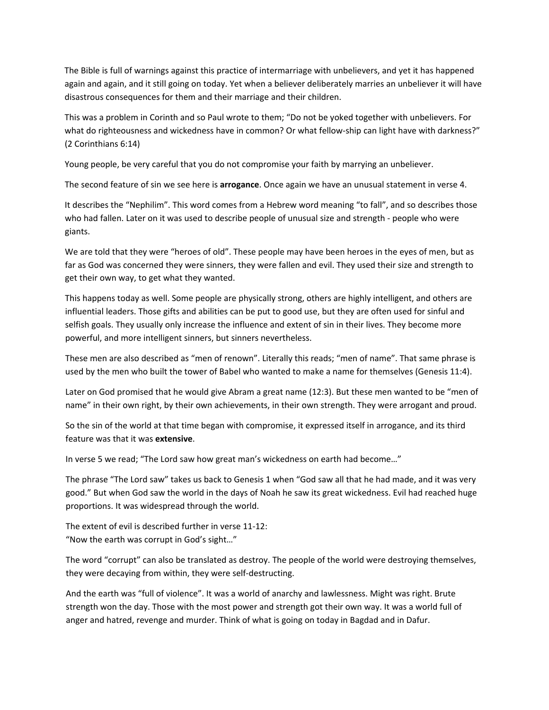The Bible is full of warnings against this practice of intermarriage with unbelievers, and yet it has happened again and again, and it still going on today. Yet when a believer deliberately marries an unbeliever it will have disastrous consequences for them and their marriage and their children.

This was a problem in Corinth and so Paul wrote to them; "Do not be yoked together with unbelievers. For what do righteousness and wickedness have in common? Or what fellow-ship can light have with darkness?" (2 Corinthians 6:14)

Young people, be very careful that you do not compromise your faith by marrying an unbeliever.

The second feature of sin we see here is **arrogance**. Once again we have an unusual statement in verse 4.

It describes the "Nephilim". This word comes from a Hebrew word meaning "to fall", and so describes those who had fallen. Later on it was used to describe people of unusual size and strength ‐ people who were giants.

We are told that they were "heroes of old". These people may have been heroes in the eyes of men, but as far as God was concerned they were sinners, they were fallen and evil. They used their size and strength to get their own way, to get what they wanted.

This happens today as well. Some people are physically strong, others are highly intelligent, and others are influential leaders. Those gifts and abilities can be put to good use, but they are often used for sinful and selfish goals. They usually only increase the influence and extent of sin in their lives. They become more powerful, and more intelligent sinners, but sinners nevertheless.

These men are also described as "men of renown". Literally this reads; "men of name". That same phrase is used by the men who built the tower of Babel who wanted to make a name for themselves (Genesis 11:4).

Later on God promised that he would give Abram a great name (12:3). But these men wanted to be "men of name" in their own right, by their own achievements, in their own strength. They were arrogant and proud.

So the sin of the world at that time began with compromise, it expressed itself in arrogance, and its third feature was that it was **extensive**.

In verse 5 we read; "The Lord saw how great man's wickedness on earth had become…"

The phrase "The Lord saw" takes us back to Genesis 1 when "God saw all that he had made, and it was very good." But when God saw the world in the days of Noah he saw its great wickedness. Evil had reached huge proportions. It was widespread through the world.

The extent of evil is described further in verse 11‐12: "Now the earth was corrupt in God's sight…"

The word "corrupt" can also be translated as destroy. The people of the world were destroying themselves, they were decaying from within, they were self‐destructing.

And the earth was "full of violence". It was a world of anarchy and lawlessness. Might was right. Brute strength won the day. Those with the most power and strength got their own way. It was a world full of anger and hatred, revenge and murder. Think of what is going on today in Bagdad and in Dafur.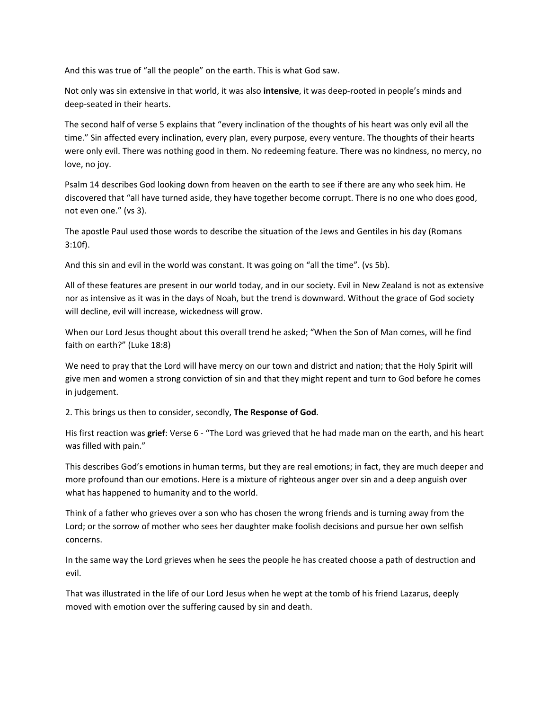And this was true of "all the people" on the earth. This is what God saw.

Not only was sin extensive in that world, it was also **intensive**, it was deep‐rooted in people's minds and deep‐seated in their hearts.

The second half of verse 5 explains that "every inclination of the thoughts of his heart was only evil all the time." Sin affected every inclination, every plan, every purpose, every venture. The thoughts of their hearts were only evil. There was nothing good in them. No redeeming feature. There was no kindness, no mercy, no love, no joy.

Psalm 14 describes God looking down from heaven on the earth to see if there are any who seek him. He discovered that "all have turned aside, they have together become corrupt. There is no one who does good, not even one." (vs 3).

The apostle Paul used those words to describe the situation of the Jews and Gentiles in his day (Romans 3:10f).

And this sin and evil in the world was constant. It was going on "all the time". (vs 5b).

All of these features are present in our world today, and in our society. Evil in New Zealand is not as extensive nor as intensive as it was in the days of Noah, but the trend is downward. Without the grace of God society will decline, evil will increase, wickedness will grow.

When our Lord Jesus thought about this overall trend he asked; "When the Son of Man comes, will he find faith on earth?" (Luke 18:8)

We need to pray that the Lord will have mercy on our town and district and nation; that the Holy Spirit will give men and women a strong conviction of sin and that they might repent and turn to God before he comes in judgement.

2. This brings us then to consider, secondly, **The Response of God**.

His first reaction was **grief**: Verse 6 ‐ "The Lord was grieved that he had made man on the earth, and his heart was filled with pain."

This describes God's emotions in human terms, but they are real emotions; in fact, they are much deeper and more profound than our emotions. Here is a mixture of righteous anger over sin and a deep anguish over what has happened to humanity and to the world.

Think of a father who grieves over a son who has chosen the wrong friends and is turning away from the Lord; or the sorrow of mother who sees her daughter make foolish decisions and pursue her own selfish concerns.

In the same way the Lord grieves when he sees the people he has created choose a path of destruction and evil.

That was illustrated in the life of our Lord Jesus when he wept at the tomb of his friend Lazarus, deeply moved with emotion over the suffering caused by sin and death.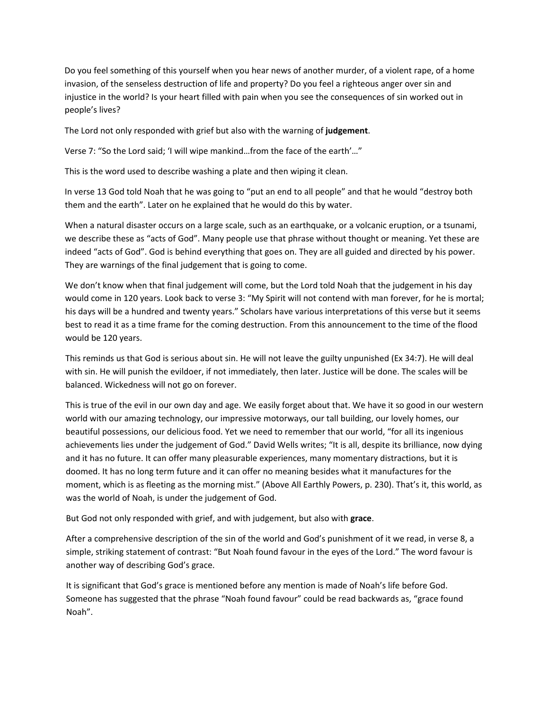Do you feel something of this yourself when you hear news of another murder, of a violent rape, of a home invasion, of the senseless destruction of life and property? Do you feel a righteous anger over sin and injustice in the world? Is your heart filled with pain when you see the consequences of sin worked out in people's lives?

The Lord not only responded with grief but also with the warning of **judgement**.

Verse 7: "So the Lord said; 'I will wipe mankind…from the face of the earth'…"

This is the word used to describe washing a plate and then wiping it clean.

In verse 13 God told Noah that he was going to "put an end to all people" and that he would "destroy both them and the earth". Later on he explained that he would do this by water.

When a natural disaster occurs on a large scale, such as an earthquake, or a volcanic eruption, or a tsunami, we describe these as "acts of God". Many people use that phrase without thought or meaning. Yet these are indeed "acts of God". God is behind everything that goes on. They are all guided and directed by his power. They are warnings of the final judgement that is going to come.

We don't know when that final judgement will come, but the Lord told Noah that the judgement in his day would come in 120 years. Look back to verse 3: "My Spirit will not contend with man forever, for he is mortal; his days will be a hundred and twenty years." Scholars have various interpretations of this verse but it seems best to read it as a time frame for the coming destruction. From this announcement to the time of the flood would be 120 years.

This reminds us that God is serious about sin. He will not leave the guilty unpunished (Ex 34:7). He will deal with sin. He will punish the evildoer, if not immediately, then later. Justice will be done. The scales will be balanced. Wickedness will not go on forever.

This is true of the evil in our own day and age. We easily forget about that. We have it so good in our western world with our amazing technology, our impressive motorways, our tall building, our lovely homes, our beautiful possessions, our delicious food. Yet we need to remember that our world, "for all its ingenious achievements lies under the judgement of God." David Wells writes; "It is all, despite its brilliance, now dying and it has no future. It can offer many pleasurable experiences, many momentary distractions, but it is doomed. It has no long term future and it can offer no meaning besides what it manufactures for the moment, which is as fleeting as the morning mist." (Above All Earthly Powers, p. 230). That's it, this world, as was the world of Noah, is under the judgement of God.

But God not only responded with grief, and with judgement, but also with **grace**.

After a comprehensive description of the sin of the world and God's punishment of it we read, in verse 8, a simple, striking statement of contrast: "But Noah found favour in the eyes of the Lord." The word favour is another way of describing God's grace.

It is significant that God's grace is mentioned before any mention is made of Noah's life before God. Someone has suggested that the phrase "Noah found favour" could be read backwards as, "grace found Noah".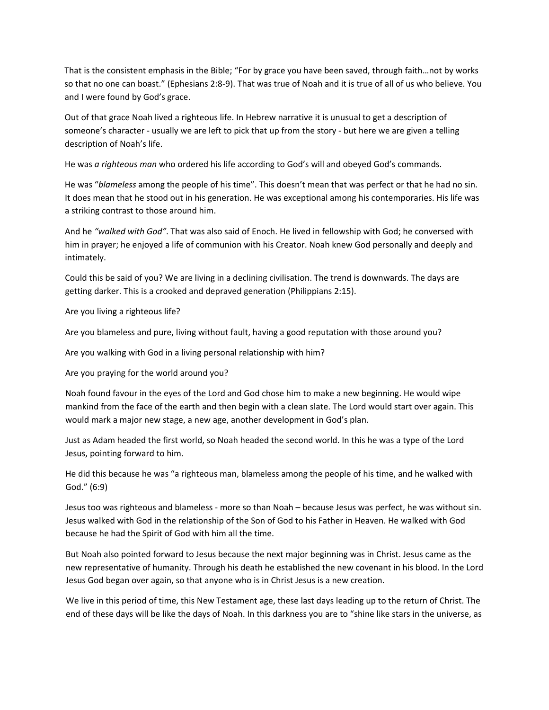That is the consistent emphasis in the Bible; "For by grace you have been saved, through faith…not by works so that no one can boast." (Ephesians 2:8‐9). That was true of Noah and it is true of all of us who believe. You and I were found by God's grace.

Out of that grace Noah lived a righteous life. In Hebrew narrative it is unusual to get a description of someone's character - usually we are left to pick that up from the story - but here we are given a telling description of Noah's life.

He was *a righteous man* who ordered his life according to God's will and obeyed God's commands.

He was "*blameless* among the people of his time". This doesn't mean that was perfect or that he had no sin. It does mean that he stood out in his generation. He was exceptional among his contemporaries. His life was a striking contrast to those around him.

And he *"walked with God"*. That was also said of Enoch. He lived in fellowship with God; he conversed with him in prayer; he enjoyed a life of communion with his Creator. Noah knew God personally and deeply and intimately.

Could this be said of you? We are living in a declining civilisation. The trend is downwards. The days are getting darker. This is a crooked and depraved generation (Philippians 2:15).

Are you living a righteous life?

Are you blameless and pure, living without fault, having a good reputation with those around you?

Are you walking with God in a living personal relationship with him?

Are you praying for the world around you?

Noah found favour in the eyes of the Lord and God chose him to make a new beginning. He would wipe mankind from the face of the earth and then begin with a clean slate. The Lord would start over again. This would mark a major new stage, a new age, another development in God's plan.

Just as Adam headed the first world, so Noah headed the second world. In this he was a type of the Lord Jesus, pointing forward to him.

He did this because he was "a righteous man, blameless among the people of his time, and he walked with God." (6:9)

Jesus too was righteous and blameless ‐ more so than Noah – because Jesus was perfect, he was without sin. Jesus walked with God in the relationship of the Son of God to his Father in Heaven. He walked with God because he had the Spirit of God with him all the time.

But Noah also pointed forward to Jesus because the next major beginning was in Christ. Jesus came as the new representative of humanity. Through his death he established the new covenant in his blood. In the Lord Jesus God began over again, so that anyone who is in Christ Jesus is a new creation.

We live in this period of time, this New Testament age, these last days leading up to the return of Christ. The end of these days will be like the days of Noah. In this darkness you are to "shine like stars in the universe, as